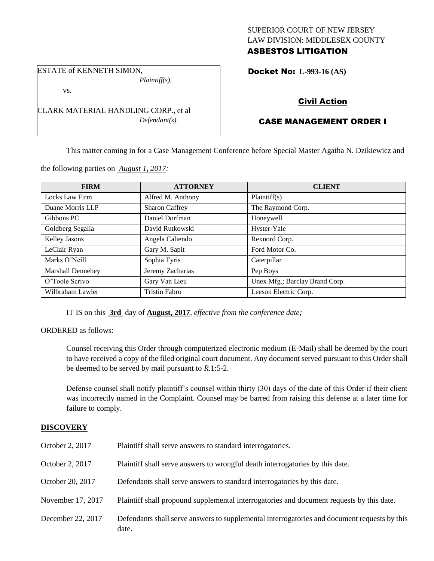## SUPERIOR COURT OF NEW JERSEY LAW DIVISION: MIDDLESEX COUNTY ASBESTOS LITIGATION

ESTATE of KENNETH SIMON, *Plaintiff(s),*

vs.

CLARK MATERIAL HANDLING CORP., et al *Defendant(s).*

the following parties on *August 1, 2017:*

# Docket No: **L-993-16 (AS)**

# Civil Action

# CASE MANAGEMENT ORDER I

This matter coming in for a Case Management Conference before Special Master Agatha N. Dzikiewicz and

| <b>FIRM</b>       | <b>ATTORNEY</b>       | <b>CLIENT</b>                  |
|-------------------|-----------------------|--------------------------------|
| Locks Law Firm    | Alfred M. Anthony     | Plaintiff(s)                   |
| Duane Morris LLP  | <b>Sharon Caffrey</b> | The Raymond Corp.              |
| Gibbons PC        | Daniel Dorfman        | Honeywell                      |
| Goldberg Segalla  | David Rutkowski       | Hyster-Yale                    |
| Kelley Jasons     | Angela Caliendo       | Rexnord Corp.                  |
| LeClair Ryan      | Gary M. Sapit         | Ford Motor Co.                 |
| Marks O'Neill     | Sophia Tyris          | Caterpillar                    |
| Marshall Dennehey | Jeremy Zacharias      | Pep Boys                       |
| O'Toole Scrivo    | Gary Van Lieu         | Unex Mfg.; Barclay Brand Corp. |
| Wilbraham Lawler  | <b>Tristin Fabro</b>  | Leeson Electric Corp.          |

IT IS on this **3rd** day of **August, 2017**, *effective from the conference date;*

ORDERED as follows:

Counsel receiving this Order through computerized electronic medium (E-Mail) shall be deemed by the court to have received a copy of the filed original court document. Any document served pursuant to this Order shall be deemed to be served by mail pursuant to *R*.1:5-2.

Defense counsel shall notify plaintiff's counsel within thirty (30) days of the date of this Order if their client was incorrectly named in the Complaint. Counsel may be barred from raising this defense at a later time for failure to comply.

# **DISCOVERY**

| October 2, 2017   | Plaintiff shall serve answers to standard interrogatories.                                            |
|-------------------|-------------------------------------------------------------------------------------------------------|
| October 2, 2017   | Plaintiff shall serve answers to wrongful death interrogatories by this date.                         |
| October 20, 2017  | Defendants shall serve answers to standard interrogatories by this date.                              |
| November 17, 2017 | Plaintiff shall propound supplemental interrogatories and document requests by this date.             |
| December 22, 2017 | Defendants shall serve answers to supplemental interrogatories and document requests by this<br>date. |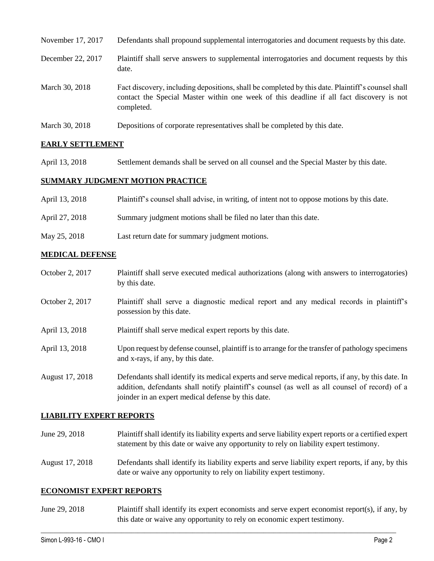| November 17, 2017 | Defendants shall propound supplemental interrogatories and document requests by this date.                                                                                                                  |
|-------------------|-------------------------------------------------------------------------------------------------------------------------------------------------------------------------------------------------------------|
| December 22, 2017 | Plaintiff shall serve answers to supplemental interrogatories and document requests by this<br>date.                                                                                                        |
| March 30, 2018    | Fact discovery, including depositions, shall be completed by this date. Plaintiff's counsel shall<br>contact the Special Master within one week of this deadline if all fact discovery is not<br>completed. |
| March 30, 2018    | Depositions of corporate representatives shall be completed by this date.                                                                                                                                   |

## **EARLY SETTLEMENT**

April 13, 2018 Settlement demands shall be served on all counsel and the Special Master by this date.

### **SUMMARY JUDGMENT MOTION PRACTICE**

| April 13, 2018 | Plaintiff's counsel shall advise, in writing, of intent not to oppose motions by this date. |
|----------------|---------------------------------------------------------------------------------------------|
| April 27, 2018 | Summary judgment motions shall be filed no later than this date.                            |
| May 25, 2018   | Last return date for summary judgment motions.                                              |

### **MEDICAL DEFENSE**

- October 2, 2017 Plaintiff shall serve executed medical authorizations (along with answers to interrogatories) by this date.
- October 2, 2017 Plaintiff shall serve a diagnostic medical report and any medical records in plaintiff's possession by this date.
- April 13, 2018 Plaintiff shall serve medical expert reports by this date.
- April 13, 2018 Upon request by defense counsel, plaintiff is to arrange for the transfer of pathology specimens and x-rays, if any, by this date.
- August 17, 2018 Defendants shall identify its medical experts and serve medical reports, if any, by this date. In addition, defendants shall notify plaintiff's counsel (as well as all counsel of record) of a joinder in an expert medical defense by this date.

#### **LIABILITY EXPERT REPORTS**

- June 29, 2018 Plaintiff shall identify its liability experts and serve liability expert reports or a certified expert statement by this date or waive any opportunity to rely on liability expert testimony.
- August 17, 2018 Defendants shall identify its liability experts and serve liability expert reports, if any, by this date or waive any opportunity to rely on liability expert testimony.

#### **ECONOMIST EXPERT REPORTS**

June 29, 2018 Plaintiff shall identify its expert economists and serve expert economist report(s), if any, by this date or waive any opportunity to rely on economic expert testimony.

 $\_$  ,  $\_$  ,  $\_$  ,  $\_$  ,  $\_$  ,  $\_$  ,  $\_$  ,  $\_$  ,  $\_$  ,  $\_$  ,  $\_$  ,  $\_$  ,  $\_$  ,  $\_$  ,  $\_$  ,  $\_$  ,  $\_$  ,  $\_$  ,  $\_$  ,  $\_$  ,  $\_$  ,  $\_$  ,  $\_$  ,  $\_$  ,  $\_$  ,  $\_$  ,  $\_$  ,  $\_$  ,  $\_$  ,  $\_$  ,  $\_$  ,  $\_$  ,  $\_$  ,  $\_$  ,  $\_$  ,  $\_$  ,  $\_$  ,